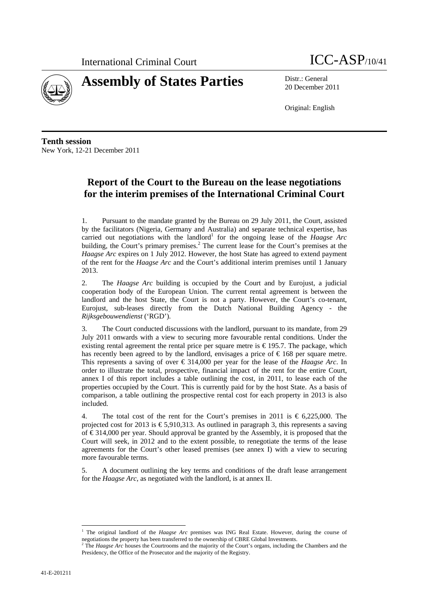



20 December 2011

Original: English

**Tenth session**  New York, 12-21 December 2011

# **Report of the Court to the Bureau on the lease negotiations for the interim premises of the International Criminal Court**

1. Pursuant to the mandate granted by the Bureau on 29 July 2011, the Court, assisted by the facilitators (Nigeria, Germany and Australia) and separate technical expertise, has carried out negotiations with the landlord<sup>1</sup> for the ongoing lease of the *Haagse Arc* building, the Court's primary premises.<sup>2</sup> The current lease for the Court's premises at the *Haagse Arc* expires on 1 July 2012. However, the host State has agreed to extend payment of the rent for the *Haagse Arc* and the Court's additional interim premises until 1 January 2013.

2. The *Haagse Arc* building is occupied by the Court and by Eurojust, a judicial cooperation body of the European Union. The current rental agreement is between the landlord and the host State, the Court is not a party. However, the Court's co-tenant, Eurojust, sub-leases directly from the Dutch National Building Agency - the *Rijksgebouwendienst* ('RGD').

3. The Court conducted discussions with the landlord, pursuant to its mandate, from 29 July 2011 onwards with a view to securing more favourable rental conditions. Under the existing rental agreement the rental price per square metre is  $\epsilon$  195.7. The package, which has recently been agreed to by the landlord, envisages a price of  $\epsilon$  168 per square metre. This represents a saving of over € 314,000 per year for the lease of the *Haagse Arc*. In order to illustrate the total, prospective, financial impact of the rent for the entire Court, annex I of this report includes a table outlining the cost, in 2011, to lease each of the properties occupied by the Court. This is currently paid for by the host State. As a basis of comparison, a table outlining the prospective rental cost for each property in 2013 is also included.

4. The total cost of the rent for the Court's premises in 2011 is  $\epsilon$  6,225,000. The projected cost for 2013 is  $\epsilon$ 5,910,313. As outlined in paragraph 3, this represents a saving of € 314,000 per year. Should approval be granted by the Assembly, it is proposed that the Court will seek, in 2012 and to the extent possible, to renegotiate the terms of the lease agreements for the Court's other leased premises (see annex I) with a view to securing more favourable terms.

5. A document outlining the key terms and conditions of the draft lease arrangement for the *Haagse Arc*, as negotiated with the landlord, is at annex II.

 $\overline{a}$ 

<sup>&</sup>lt;sup>1</sup> The original landlord of the *Haagse Arc* premises was ING Real Estate. However, during the course of negotiations the property has been transferred to the ownership of CBRE Global Investments.<br><sup>2</sup> The *Haagse Arc* houses the Courtrooms and the majority of the Court's organs, including the Chambers and the

Presidency, the Office of the Prosecutor and the majority of the Registry.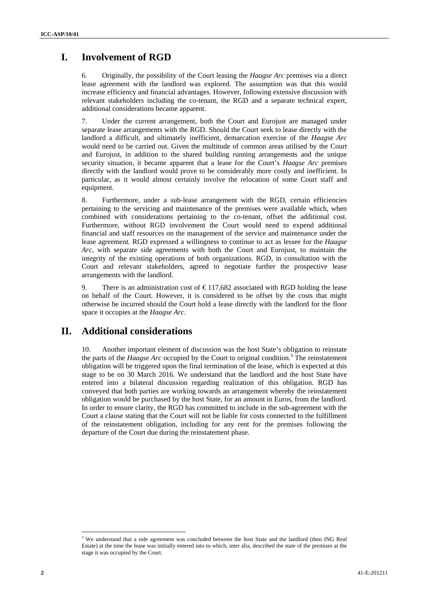## **I. Involvement of RGD**

6. Originally, the possibility of the Court leasing the *Haagse Arc* premises via a direct lease agreement with the landlord was explored. The assumption was that this would increase efficiency and financial advantages. However, following extensive discussion with relevant stakeholders including the co-tenant, the RGD and a separate technical expert, additional considerations became apparent.

7. Under the current arrangement, both the Court and Eurojust are managed under separate lease arrangements with the RGD. Should the Court seek to lease directly with the landlord a difficult, and ultimately inefficient, demarcation exercise of the *Haagse Arc* would need to be carried out. Given the multitude of common areas utilised by the Court and Eurojust, in addition to the shared building running arrangements and the unique security situation, it became apparent that a lease for the Court's *Haagse Arc* premises directly with the landlord would prove to be considerably more costly and inefficient. In particular, as it would almost certainly involve the relocation of some Court staff and equipment.

8. Furthermore, under a sub-lease arrangement with the RGD, certain efficiencies pertaining to the servicing and maintenance of the premises were available which, when combined with considerations pertaining to the co-tenant, offset the additional cost. Furthermore, without RGD involvement the Court would need to expend additional financial and staff resources on the management of the service and maintenance under the lease agreement. RGD expressed a willingness to continue to act as lessee for the *Haagse Arc*, with separate side agreements with both the Court and Eurojust, to maintain the integrity of the existing operations of both organizations. RGD, in consultation with the Court and relevant stakeholders, agreed to negotiate further the prospective lease arrangements with the landlord.

9. There is an administration cost of  $\epsilon$  117,682 associated with RGD holding the lease on behalf of the Court. However, it is considered to be offset by the costs that might otherwise be incurred should the Court hold a lease directly with the landlord for the floor space it occupies at the *Haagse Arc*.

## **II. Additional considerations**

10. Another important element of discussion was the host State's obligation to reinstate the parts of the *Haagse Arc* occupied by the Court to original condition.<sup>3</sup> The reinstatement obligation will be triggered upon the final termination of the lease, which is expected at this stage to be on 30 March 2016. We understand that the landlord and the host State have entered into a bilateral discussion regarding realization of this obligation. RGD has conveyed that both parties are working towards an arrangement whereby the reinstatement obligation would be purchased by the host State, for an amount in Euros, from the landlord. In order to ensure clarity, the RGD has committed to include in the sub-agreement with the Court a clause stating that the Court will not be liable for costs connected to the fulfillment of the reinstatement obligation, including for any rent for the premises following the departure of the Court due during the reinstatement phase.

 $\overline{a}$ <sup>3</sup> We understand that a side agreement was concluded between the host State and the landlord (then ING Real Estate) at the time the lease was initially entered into to which, inter alia, described the state of the premises at the stage it was occupied by the Court.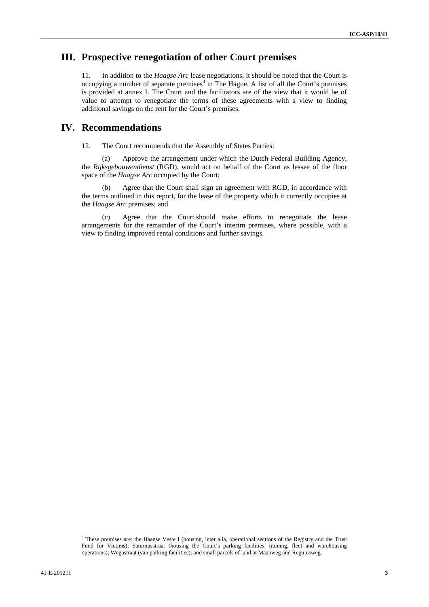# **III. Prospective renegotiation of other Court premises**

11. In addition to the *Haagse Arc* lease negotiations, it should be noted that the Court is occupying a number of separate premises<sup>4</sup> in The Hague. A list of all the Court's premises is provided at annex I. The Court and the facilitators are of the view that it would be of value to attempt to renegotiate the terms of these agreements with a view to finding additional savings on the rent for the Court's premises.

## **IV. Recommendations**

12. The Court recommends that the Assembly of States Parties:

(a) Approve the arrangement under which the Dutch Federal Building Agency, the *Rijksgebouwendienst* (RGD), would act on behalf of the Court as lessee of the floor space of the *Haagse Arc* occupied by the Court;

(b) Agree that the Court shall sign an agreement with RGD, in accordance with the terms outlined in this report, for the lease of the property which it currently occupies at the *Haagse Arc* premises; and

(c) Agree that the Court should make efforts to renegotiate the lease arrangements for the remainder of the Court's interim premises, where possible, with a view to finding improved rental conditions and further savings.

 $\overline{a}$ 

<sup>4</sup> These premises are: the Haagse Veste I (housing, inter alia, operational sections of the Registry and the Trust Fund for Victims); Saturnusstraat (housing the Court's parking facilities, training, fleet and warehousing operations); Wegastraat (van parking facilities); and small parcels of land at Maanweg and Regulusweg.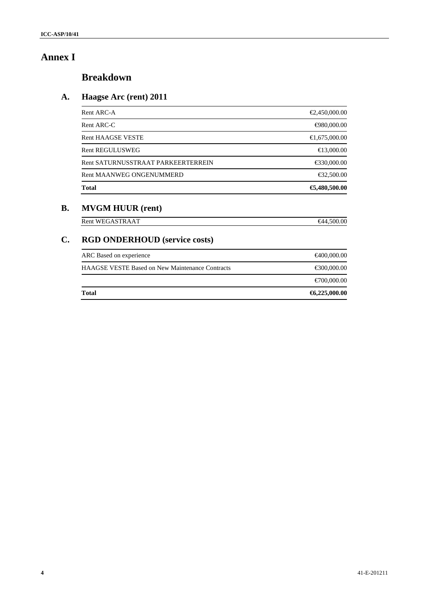# **Annex I**

# **Breakdown**

# **A. Haagse Arc (rent) 2011**

| Rent ARC-A                         | $\bigoplus$ ,450,000.00   |
|------------------------------------|---------------------------|
| Rent ARC-C                         | $\bigoplus$ 80,000.00     |
| <b>Rent HAAGSE VESTE</b>           | $\bigoplus$ , 675, 000.00 |
| <b>Rent REGULUSWEG</b>             | $\bigoplus$ 3,000.00      |
| Rent SATURNUSSTRAAT PARKEERTERREIN | €30,000.00                |
| <b>Rent MAANWEG ONGENUMMERD</b>    | € $32,500.00$             |
| <b>Total</b>                       | €,480,500.00              |

## **B. MVGM HUUR (rent)**

 $\begin{tabular}{ll} \multicolumn{2}{l}{{\bf Rent WEGASTRAAT}} \end{tabular} \begin{tabular}{ll} \multicolumn{2}{l}{{\bf Rent WEGASTRAAT}} \end{tabular}$ 

# **C. RGD ONDERHOUD (service costs)**

| <b>Total</b>                                           | $\textbf{6}$ , 225, 000.00 |
|--------------------------------------------------------|----------------------------|
|                                                        | $\bigoplus 00,000.00$      |
| <b>HAAGSE VESTE Based on New Maintenance Contracts</b> | € $00,000.00$              |
| ARC Based on experience                                | <del>€</del> 400,000.00    |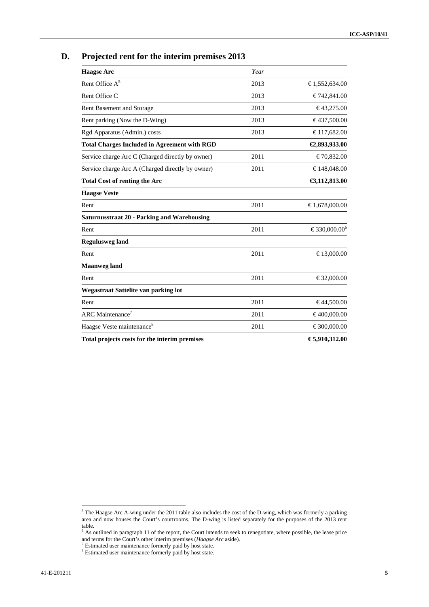| D. |  | Projected rent for the interim premises 2013 |
|----|--|----------------------------------------------|
|    |  |                                              |

| <b>Haagse Arc</b>                                   | Year |                          |
|-----------------------------------------------------|------|--------------------------|
| Rent Office A <sup>5</sup>                          | 2013 | €1,552,634.00            |
| Rent Office C                                       | 2013 | €742,841.00              |
| <b>Rent Basement and Storage</b>                    | 2013 | €43,275.00               |
| Rent parking (Now the D-Wing)                       | 2013 | €437,500.00              |
| Rgd Apparatus (Admin.) costs                        | 2013 | €117,682.00              |
| <b>Total Charges Included in Agreement with RGD</b> |      | €2,893,933.00            |
| Service charge Arc C (Charged directly by owner)    | 2011 | €70,832.00               |
| Service charge Arc A (Charged directly by owner)    | 2011 | €148,048.00              |
| <b>Total Cost of renting the Arc</b>                |      | €3,112,813.00            |
| <b>Haagse Veste</b>                                 |      |                          |
| Rent                                                | 2011 | €1,678,000.00            |
| <b>Saturnusstraat 20 - Parking and Warehousing</b>  |      |                          |
| Rent                                                | 2011 | €330,000.00 <sup>6</sup> |
| <b>Regulusweg land</b>                              |      |                          |
| Rent                                                | 2011 | €13,000.00               |
| <b>Maanweg</b> land                                 |      |                          |
| Rent                                                | 2011 | €32,000.00               |
| Wegastraat Sattelite van parking lot                |      |                          |
| Rent                                                | 2011 | €44,500.00               |
| ARC Maintenance <sup>7</sup>                        | 2011 | €400,000.00              |
| Haagse Veste maintenance <sup>8</sup>               | 2011 | €300,000.00              |
| Total projects costs for the interim premises       |      | €5,910,312.00            |

<sup>&</sup>lt;sup>5</sup> The Haagse Arc A-wing under the 2011 table also includes the cost of the D-wing, which was formerly a parking area and now houses the Court's courtrooms. The D-wing is listed separately for the purposes of the 2013 rent

table.<br><sup>6</sup> As outlined in paragraph 11 of the report, the Court intends to seek to renegotiate, where possible, the lease price and terms for the Court's other interim premises (*Haagse Arc* aside).<br><sup>7</sup> Estimated user maintenance formerly paid by host state.

<sup>&</sup>lt;sup>8</sup> Estimated user maintenance formerly paid by host state.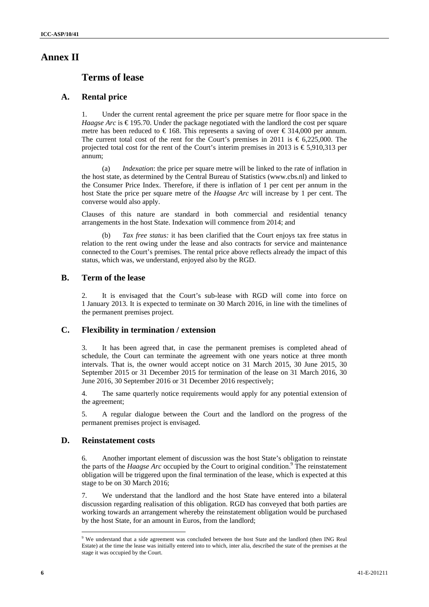## **Annex II**

## **Terms of lease**

## **A. Rental price**

1. Under the current rental agreement the price per square metre for floor space in the *Haagse Arc* is  $\epsilon$  195.70. Under the package negotiated with the landlord the cost per square metre has been reduced to  $\in$  168. This represents a saving of over  $\in$  314,000 per annum. The current total cost of the rent for the Court's premises in 2011 is  $\epsilon$  6,225,000. The projected total cost for the rent of the Court's interim premises in 2013 is  $\epsilon$ 5,910,313 per annum;

(a) *Indexation*: the price per square metre will be linked to the rate of inflation in the host state, as determined by the Central Bureau of Statistics (www.cbs.nl) and linked to the Consumer Price Index. Therefore, if there is inflation of 1 per cent per annum in the host State the price per square metre of the *Haagse Arc* will increase by 1 per cent. The converse would also apply.

Clauses of this nature are standard in both commercial and residential tenancy arrangements in the host State. Indexation will commence from 2014; and

(b) *Tax free status:* it has been clarified that the Court enjoys tax free status in relation to the rent owing under the lease and also contracts for service and maintenance connected to the Court's premises. The rental price above reflects already the impact of this status, which was, we understand, enjoyed also by the RGD.

## **B. Term of the lease**

2. It is envisaged that the Court's sub-lease with RGD will come into force on 1 January 2013. It is expected to terminate on 30 March 2016, in line with the timelines of the permanent premises project.

#### **C. Flexibility in termination / extension**

3. It has been agreed that, in case the permanent premises is completed ahead of schedule, the Court can terminate the agreement with one years notice at three month intervals. That is, the owner would accept notice on 31 March 2015, 30 June 2015, 30 September 2015 or 31 December 2015 for termination of the lease on 31 March 2016, 30 June 2016, 30 September 2016 or 31 December 2016 respectively;

4. The same quarterly notice requirements would apply for any potential extension of the agreement;

5. A regular dialogue between the Court and the landlord on the progress of the permanent premises project is envisaged.

## **D. Reinstatement costs**

 $\overline{a}$ 

6. Another important element of discussion was the host State's obligation to reinstate the parts of the *Haagse Arc* occupied by the Court to original condition.<sup>9</sup> The reinstatement obligation will be triggered upon the final termination of the lease, which is expected at this stage to be on 30 March 2016;

7. We understand that the landlord and the host State have entered into a bilateral discussion regarding realisation of this obligation. RGD has conveyed that both parties are working towards an arrangement whereby the reinstatement obligation would be purchased by the host State, for an amount in Euros, from the landlord;

<sup>&</sup>lt;sup>9</sup> We understand that a side agreement was concluded between the host State and the landlord (then ING Real Estate) at the time the lease was initially entered into to which, inter alia, described the state of the premises at the stage it was occupied by the Court.